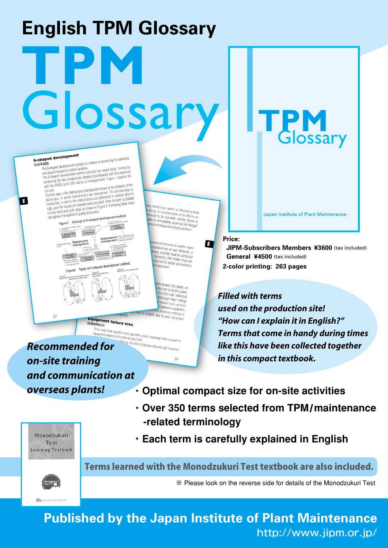## **English TPM Glossary TPM** Glossary

## 8-shaped development

G

8-8-2服開 **FREE**<br>The B-shaped development method is a means of promoting we work<br>The B-shaped development method basically has seven steps, formed by<br>and organizing quality control systems.<br>The 8-shaped development method basic (man The 8-straped unity control systems.<br>and organizing quality control systems that server steps, former<br>and organizing quality control method basically has seven steps, for<br>the 8-shaped development method spaces (maintenance the complement method basically interested in provements<br>in 8-shaped development method basics (maintenance and improvements)<br>combining the two fundamental phases of maintenance and improvement).<br>with the PDCA cycle (the b

combining the basics of management<br>with the PDCA cycle (the basics of management phase is the analysis of the<br>concept.<br>The first step in the maintenance management phase is the second step is<br>The first step in which mallun with the PDCA cycle (the user-<br>example the maintenance management phase is the analysis of the<br>concept.<br>The first step in the maintenance management phase is the second step is<br>status quo, in which malfunctions are discove right, and the results of the sixth steps as shown in Fi<br>into the third and sixth steps as shown in Fi<br>strengthens the system of quality assurance. ment method ens the system of quality assets.<br>Figure1 Concept of 8-shaped devel

5. Setting

ant met  $\lim_{n\to\infty} \frac{1}{n}$ 

ent failure loss<br><sup>7</sup>

細ロフ

.<br>mporary repair is effected to keep<br>, in consideration of its aff ure, temporary repair is effected to keep<br>P being, in consideration of its effects on<br>Polinues to be operated, another failure in<br>Sary to immediated, another failure in ering, in consideration of its effects on<br>tinues to be operated, another failure is<br>iny to immediately work out to interest inves to be operated, another failure is<br>Iny to immediately work out full-fledged<br>manent measures and enforce the t measures and enforce them.

> d because of sudden repair,<br>ations or uper d wrried because of sudden repail<br>siderations or user demands, or<br>ent, and that must be economic and arrors or user demands, or<br>ent, and that must be conducted<br>Generally, the related Then, and that must be conducted<br>Generally, the related slips are<br>remind the sector concerned to<br>will take place,

; fuel, steam, air, ost of electric power,<br>lotal cost is power, the total cost, individual ugh major energy nain intact, so the M hydraulic equipment pressure setting is and to carry out p

<sup>Inter loss</sup> that results from sporadic plant stoppage where plant or<br>
equipment casses to function as specified.<br> **Recommended for** enction as specified. The stoppage where plant<br>sified as function-stoppage failures and function *on-site training and communication at overseas plants!*

- **・Optimal compact size for on-site activities**
- **・Over 350 terms selected from TPM**/**maintenance -related terminology**

Monodzukuri **Test Learning Textbook** 

**・Each term is carefully explained in English**



Terms learned with the Monodzukuri Test textbook are also included.

※ Please look on the reverse side for details of the Monodzukuri Test

**Published by the Japan Institute of Plant Maintenance** http://www.jipm.or.jp/

**Price:** 

B

 **JIPM-Subscribers Members ¥3600** (tax included)  **General ¥4500** (tax included) **2-color printing: 263 pages**

Japan Institute of Plant Maintenance

**TPM**<br>Glossary

*Filled with terms used on the production site! "How can I explain it in English?" Terms that come in handy during times like this have been collected together in this compact textbook.*